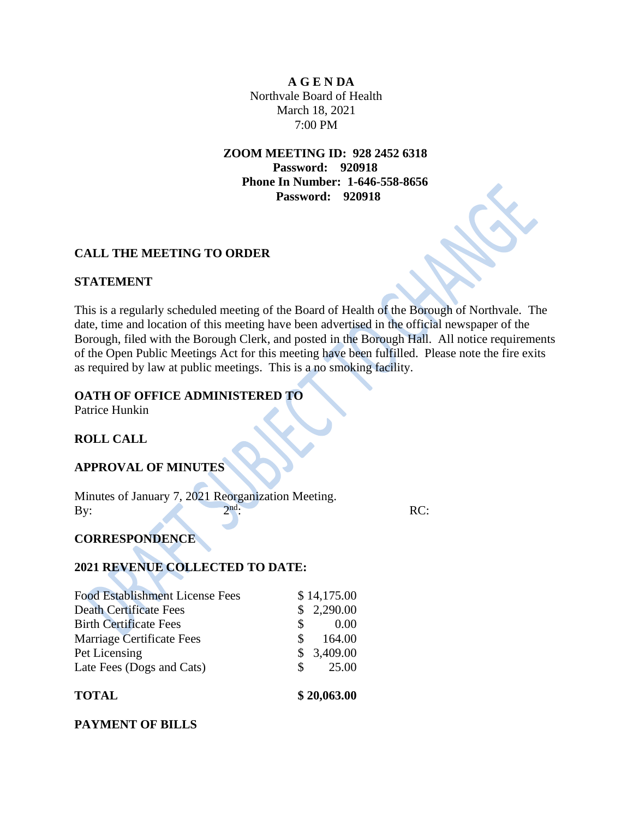**A G E N DA** Northvale Board of Health March 18, 2021 7:00 PM

**ZOOM MEETING ID: 928 2452 6318 Password: 920918 Phone In Number: 1-646-558-8656 Password: 920918**

# **CALL THE MEETING TO ORDER**

#### **STATEMENT**

This is a regularly scheduled meeting of the Board of Health of the Borough of Northvale. The date, time and location of this meeting have been advertised in the official newspaper of the Borough, filed with the Borough Clerk, and posted in the Borough Hall. All notice requirements of the Open Public Meetings Act for this meeting have been fulfilled. Please note the fire exits as required by law at public meetings. This is a no smoking facility.

## **OATH OF OFFICE ADMINISTERED TO**

Patrice Hunkin

# **ROLL CALL**

#### **APPROVAL OF MINUTES**

Minutes of January 7, 2021 Reorganization Meeting. By:  $2<sup>nd</sup>$ : nd: RC:

# **CORRESPONDENCE**

## **2021 REVENUE COLLECTED TO DATE:**

| 25.00<br>- S   |
|----------------|
|                |
| \$3,409.00     |
| 164.00<br>\$.  |
| 0.00<br>\$.    |
| 2,290.00<br>S. |
| \$14,175.00    |
|                |

## **PAYMENT OF BILLS**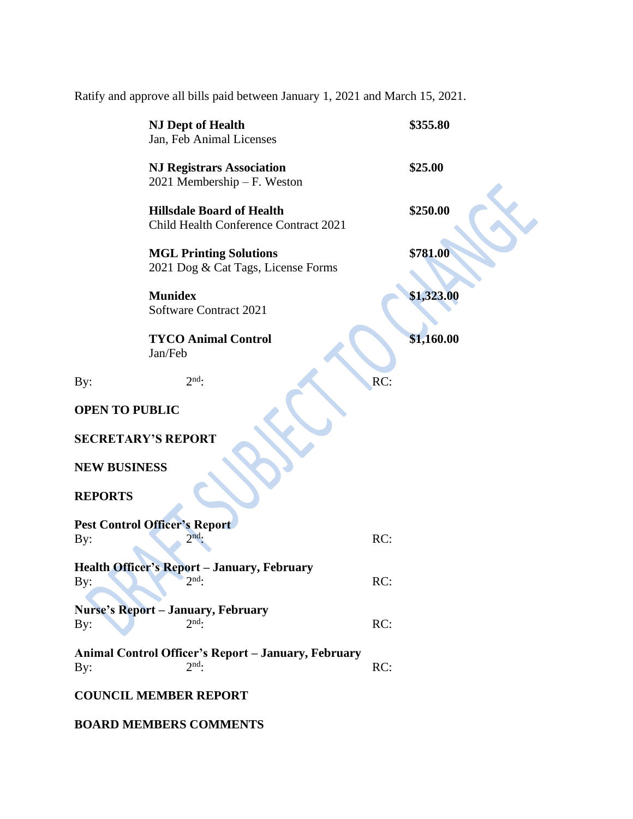Ratify and approve all bills paid between January 1, 2021 and March 15, 2021.

|                                                    | <b>NJ Dept of Health</b><br>Jan, Feb Animal Licenses                      |     | \$355.80   |
|----------------------------------------------------|---------------------------------------------------------------------------|-----|------------|
|                                                    | <b>NJ Registrars Association</b><br>2021 Membership - F. Weston           |     | \$25.00    |
|                                                    | <b>Hillsdale Board of Health</b><br>Child Health Conference Contract 2021 |     | \$250.00   |
|                                                    | <b>MGL Printing Solutions</b><br>2021 Dog & Cat Tags, License Forms       |     | \$781.00   |
|                                                    | <b>Munidex</b><br>Software Contract 2021                                  |     | \$1,323.00 |
|                                                    | <b>TYCO Animal Control</b><br>Jan/Feb                                     |     | \$1,160.00 |
| By:                                                | $2nd$ .                                                                   | RC: |            |
| <b>OPEN TO PUBLIC</b><br><b>SECRETARY'S REPORT</b> |                                                                           |     |            |
| <b>NEW BUSINESS</b><br><b>REPORTS</b>              |                                                                           |     |            |
| <b>Pest Control Officer's Report</b>               |                                                                           |     |            |
| By:                                                | $\gamma$ nd                                                               | RC: |            |
| By:                                                | <b>Health Officer's Report - January, February</b><br>$2nd$ :             | RC: |            |
| By:                                                | <b>Nurse's Report - January, February</b><br>$2nd$ .                      | RC: |            |
| By:                                                | Animal Control Officer's Report - January, February<br>$2nd$ :            | RC: |            |
| <b>COUNCIL MEMBER REPORT</b>                       |                                                                           |     |            |

**BOARD MEMBERS COMMENTS**